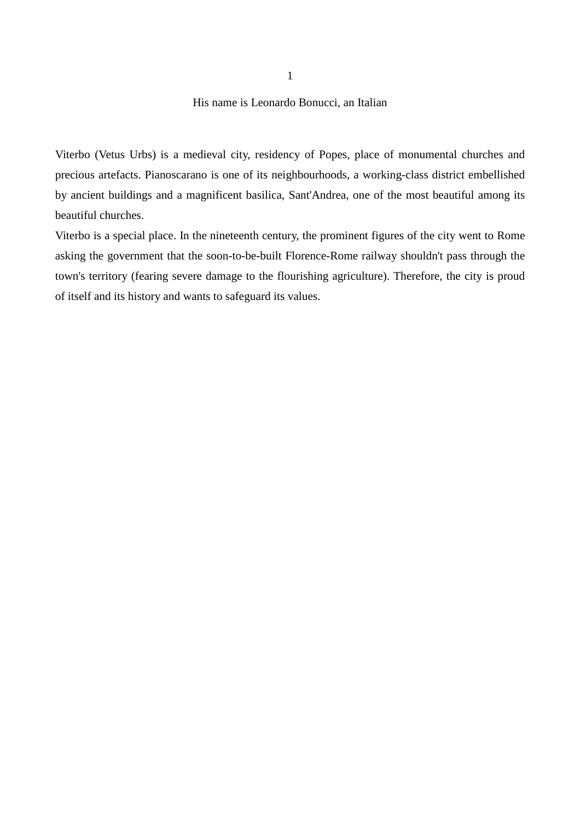## His name is Leonardo Bonucci, an Italian

Viterbo (Vetus Urbs) is a medieval city, residency of Popes, place of monumental churches and precious artefacts. Pianoscarano is one of its neighbourhoods, a working-class district embellished by ancient buildings and a magnificent basilica, Sant'Andrea, one of the most beautiful among its beautiful churches.

Viterbo is a special place. In the nineteenth century, the prominent figures of the city went to Rome asking the government that the soon-to-be-built Florence-Rome railway shouldn't pass through the town's territory (fearing severe damage to the flourishing agriculture). Therefore, the city is proud of itself and its history and wants to safeguard its values.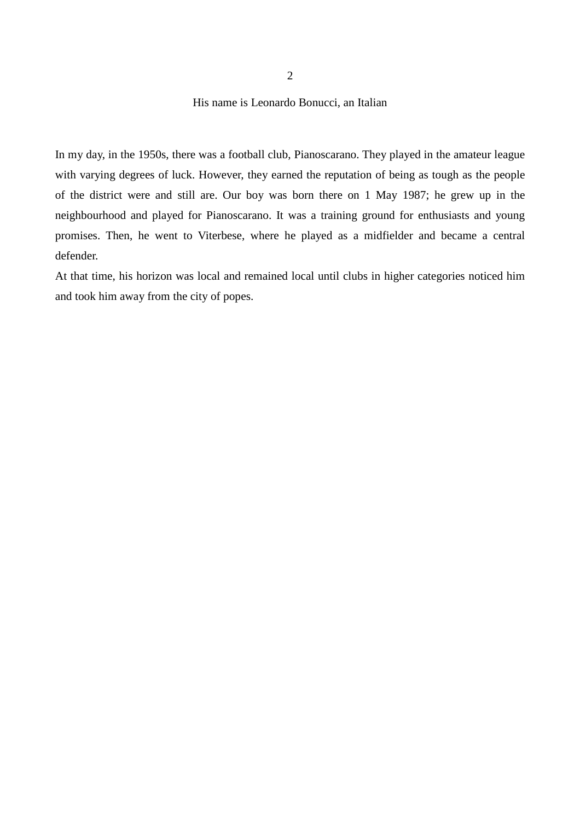## His name is Leonardo Bonucci, an Italian

In my day, in the 1950s, there was a football club, Pianoscarano. They played in the amateur league with varying degrees of luck. However, they earned the reputation of being as tough as the people of the district were and still are. Our boy was born there on 1 May 1987; he grew up in the neighbourhood and played for Pianoscarano. It was a training ground for enthusiasts and young promises. Then, he went to Viterbese, where he played as a midfielder and became a central defender.

At that time, his horizon was local and remained local until clubs in higher categories noticed him and took him away from the city of popes.